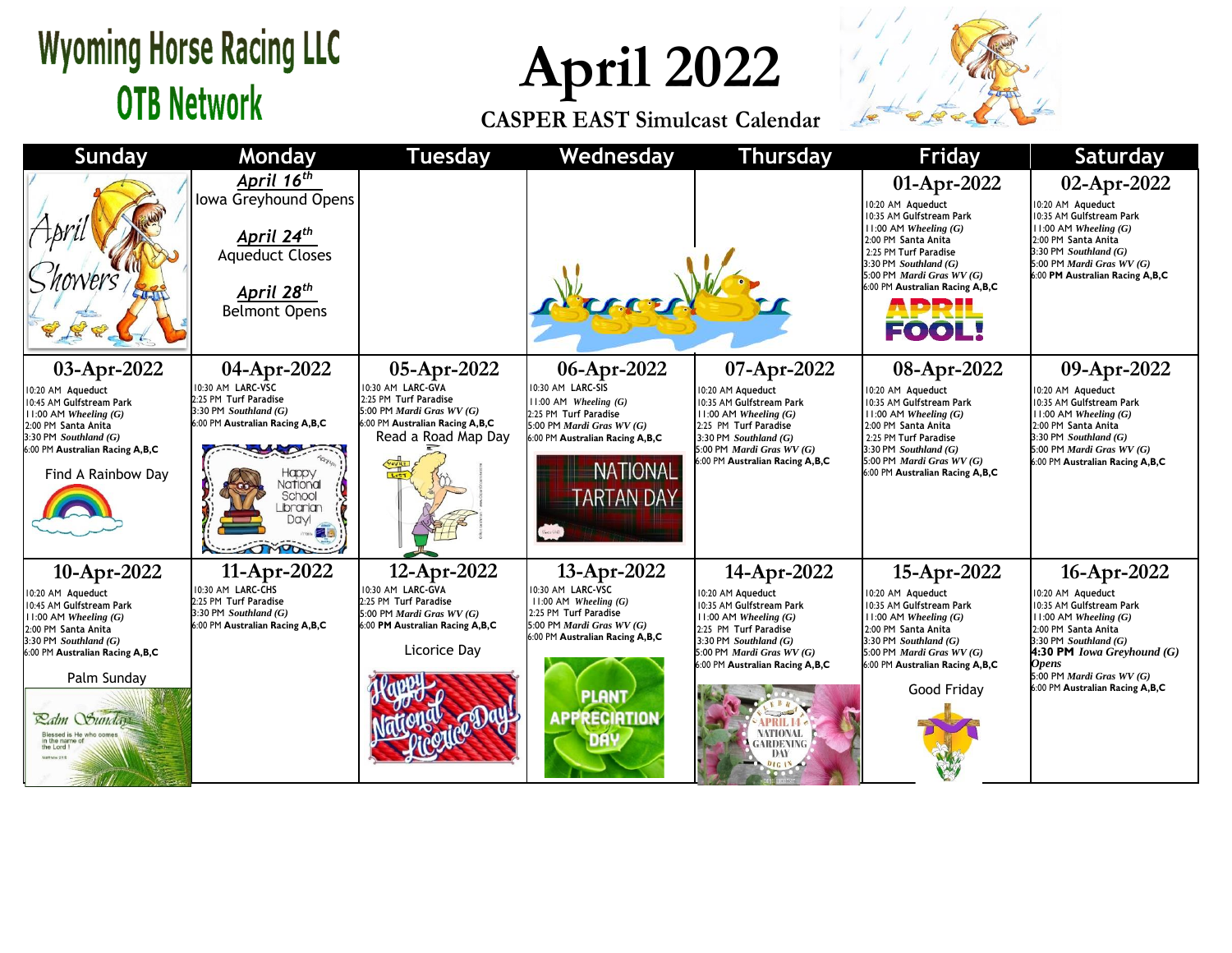## **Wyoming Horse Racing LLC OTB Network**

**April 2022**

**CASPER EAST Simulcast Calendar**



| <b>Sunday</b>                                                                                                                                                                                                                                                        | Monday                                                                                                                                                                                        | <b>Tuesday</b>                                                                                                                                    | Wednesday                                                                                                                                                                                              | Thursday                                                                                                                                                                                                                                              | <b>Friday</b>                                                                                                                                                                                                                                                    | <b>Saturday</b>                                                                                                                                                                                                                                                         |
|----------------------------------------------------------------------------------------------------------------------------------------------------------------------------------------------------------------------------------------------------------------------|-----------------------------------------------------------------------------------------------------------------------------------------------------------------------------------------------|---------------------------------------------------------------------------------------------------------------------------------------------------|--------------------------------------------------------------------------------------------------------------------------------------------------------------------------------------------------------|-------------------------------------------------------------------------------------------------------------------------------------------------------------------------------------------------------------------------------------------------------|------------------------------------------------------------------------------------------------------------------------------------------------------------------------------------------------------------------------------------------------------------------|-------------------------------------------------------------------------------------------------------------------------------------------------------------------------------------------------------------------------------------------------------------------------|
| THE                                                                                                                                                                                                                                                                  | April 16 <sup>th</sup><br>Iowa Greyhound Opens<br>April 24 <sup>th</sup><br><b>Aqueduct Closes</b><br>April 28 <sup>th</sup><br><b>Belmont Opens</b>                                          |                                                                                                                                                   |                                                                                                                                                                                                        |                                                                                                                                                                                                                                                       | 01-Apr-2022<br>10:20 AM Aqueduct<br>10:35 AM Gulfstream Park<br>$11:00$ AM Wheeling $(G)$<br>2:00 PM Santa Anita<br>2:25 PM Turf Paradise<br>3:30 PM Southland $(G)$<br>5:00 PM Mardi Gras WV (G)<br>6:00 PM Australian Racing A, B, C<br><b>APRIL<br/>FOOL!</b> | 02-Apr-2022<br>10:20 AM Aqueduct<br>10:35 AM Gulfstream Park<br>$11:00$ AM Wheeling $(G)$<br>2:00 PM Santa Anita<br>3:30 PM Southland (G)<br>5:00 PM Mardi Gras WV (G)<br>6:00 PM Australian Racing A,B,C                                                               |
| 03-Apr-2022<br>10:20 AM Aqueduct<br>10:45 AM Gulfstream Park<br>$11:00$ AM Wheeling $(G)$<br>2:00 PM Santa Anita<br>$3:30$ PM Southland $(G)$<br>6:00 PM Australian Racing A,B,C<br>Find A Rainbow Day                                                               | 04-Apr-2022<br>0:30 AM LARC-VSC<br>2:25 PM Turf Paradise<br>3:30 PM Southland (G)<br>6:00 PM Australian Racing A,B,C<br>Happy<br>Vational<br>School<br>Librarian<br><b>Davi</b><br>$\sqrt{2}$ | 05-Apr-2022<br>10:30 AM LARC-GVA<br>2:25 PM Turf Paradise<br>5:00 PM Mardi Gras $WV(G)$<br>6:00 PM Australian Racing A,B,C<br>Read a Road Map Day | 06-Apr-2022<br>10:30 AM LARC-SIS<br>$11:00$ AM Wheeling $(G)$<br>2:25 PM Turf Paradise<br>5:00 PM Mardi Gras WV (G)<br>6:00 PM Australian Racing A,B,C<br><b>NATIONAL</b><br><b>ARTAN DAY</b>          | 07-Apr-2022<br>10:20 AM Aqueduct<br>10:35 AM Gulfstream Park<br>$11:00$ AM Wheeling $(G)$<br>2:25 PM Turf Paradise<br>3:30 PM Southland $(G)$<br>5:00 PM <i>Mardi Gras WV</i> $(G)$<br>6:00 PM Australian Racing A,B,C                                | 08-Apr-2022<br>10:20 AM Aqueduct<br>10:35 AM Gulfstream Park<br>$1:00$ AM Wheeling $(G)$<br>2:00 PM Santa Anita<br>2:25 PM Turf Paradise<br>3:30 PM Southland $(G)$<br>5:00 PM Mardi Gras WV (G)<br>6:00 PM Australian Racing A,B,C                              | 09-Apr-2022<br>10:20 AM Aqueduct<br>10:35 AM Gulfstream Park<br>$11:00$ AM Wheeling $(G)$<br>2:00 PM Santa Anita<br>3:30 PM Southland (G)<br>5:00 PM Mardi Gras $WV(G)$<br>6:00 PM Australian Racing A,B,C                                                              |
| 10-Apr-2022<br>10:20 AM Aqueduct<br>10:45 AM Gulfstream Park<br>$11:00$ AM Wheeling $(G)$<br>2:00 PM Santa Anita<br>$3:30$ PM Southland $(G)$<br>6:00 PM Australian Racing A,B,C<br>Palm Sunday<br>Ralm Sunday<br>Blessed is He who com<br>in the name o<br>the Lord | 11-Apr-2022<br>10:30 AM LARC-CHS<br>2:25 PM Turf Paradise<br>3:30 PM Southland $(G)$<br>6:00 PM Australian Racing A,B,C                                                                       | 12-Apr-2022<br>10:30 AM LARC-GVA<br>2:25 PM Turf Paradise<br>5:00 PM Mardi Gras WV (G)<br>6:00 PM Australian Racing A,B,C<br>Licorice Day         | 13-Apr-2022<br>10:30 AM LARC-VSC<br>$11:00$ AM Wheeling $(G)$<br>2:25 PM Turf Paradise<br>5:00 PM <i>Mardi Gras WV</i> $(G)$<br>6:00 PM Australian Racing A,B,C<br><b>PLANT</b><br><b>APPRECIATION</b> | 14-Apr-2022<br>10:20 AM Aqueduct<br>10:35 AM Gulfstream Park<br>$11:00$ AM Wheeling $(G)$<br>2:25 PM Turf Paradise<br>3:30 PM Southland $(G)$<br>5:00 PM Mardi Gras WV (G)<br>6:00 PM Australian Racing A,B,C<br>VATIONAL<br>ARDENING<br>DAY<br>0161N | 15-Apr-2022<br>10:20 AM Aqueduct<br>10:35 AM Gulfstream Park<br>$11:00$ AM Wheeling $(G)$<br>2:00 PM Santa Anita<br>3:30 PM Southland $(G)$<br>5:00 PM <i>Mardi Gras WV</i> $(G)$<br>6:00 PM Australian Racing A,B,C<br>Good Friday                              | 16-Apr-2022<br>10:20 AM Aqueduct<br>10:35 AM Gulfstream Park<br>11:00 AM Wheeling $(G)$<br>2:00 PM Santa Anita<br>3:30 PM Southland $(G)$<br><b>4:30 PM</b> <i>Iowa Greyhound</i> $(G)$<br><b>Opens</b><br>5:00 PM Mardi Gras WV (G)<br>6:00 PM Australian Racing A,B,C |